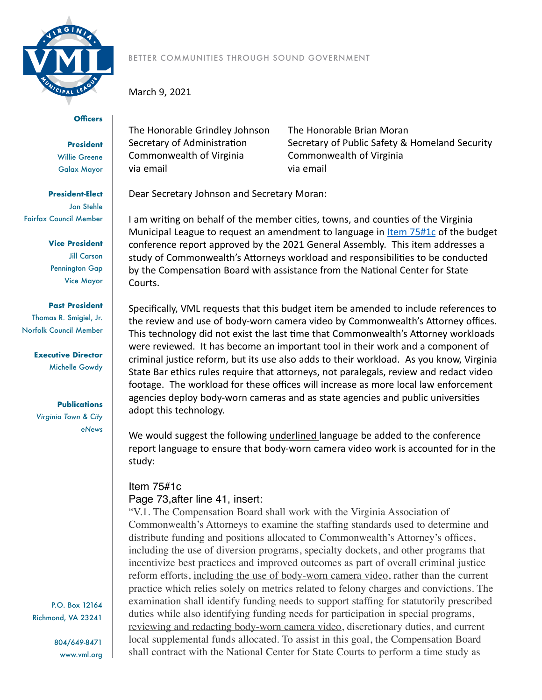

## **Officers**

**President** Willie Greene Galax Mayor

**President-Elect** Jon Stehle Fairfax Council Member

> **Vice President** Jill Carson Pennington Gap Vice Mayor

**Past President** Thomas R. Smigiel, Jr. Norfolk Council Member

> **Executive Director** Michelle Gowdy

> > **Publications**

*Virginia Town & City eNews*

P.O. Box 12164 Richmond, VA 23241

> 804/649-8471 www.vml.org

BETTER COMMUNITIES THROUGH SOUND GOVERNMENT

March 9, 2021

The Honorable Grindley Johnson The Honorable Brian Moran Commonwealth of Virginia Commonwealth of Virginia via email via email

Secretary of Administration Secretary of Public Safety & Homeland Security

Dear Secretary Johnson and Secretary Moran:

I am writing on behalf of the member cities, towns, and counties of the Virginia Municipal League to request an amendment to language in Item  $75#1c$  of the budget conference report approved by the 2021 General Assembly. This item addresses a study of Commonwealth's Attorneys workload and responsibilities to be conducted by the Compensation Board with assistance from the National Center for State Courts.

Specifically, VML requests that this budget item be amended to include references to the review and use of body-worn camera video by Commonwealth's Attorney offices. This technology did not exist the last time that Commonwealth's Attorney workloads were reviewed. It has become an important tool in their work and a component of criminal justice reform, but its use also adds to their workload. As you know, Virginia State Bar ethics rules require that attorneys, not paralegals, review and redact video footage. The workload for these offices will increase as more local law enforcement agencies deploy body-worn cameras and as state agencies and public universities adopt this technology.

We would suggest the following underlined language be added to the conference report language to ensure that body-worn camera video work is accounted for in the study:

## Item 75#1c Page 73,after line 41, insert:

"V.1. The Compensation Board shall work with the Virginia Association of Commonwealth's Attorneys to examine the staffing standards used to determine and distribute funding and positions allocated to Commonwealth's Attorney's offices, including the use of diversion programs, specialty dockets, and other programs that incentivize best practices and improved outcomes as part of overall criminal justice reform efforts, including the use of body-worn camera video, rather than the current practice which relies solely on metrics related to felony charges and convictions. The examination shall identify funding needs to support staffing for statutorily prescribed duties while also identifying funding needs for participation in special programs, reviewing and redacting body-worn camera video, discretionary duties, and current local supplemental funds allocated. To assist in this goal, the Compensation Board shall contract with the National Center for State Courts to perform a time study as